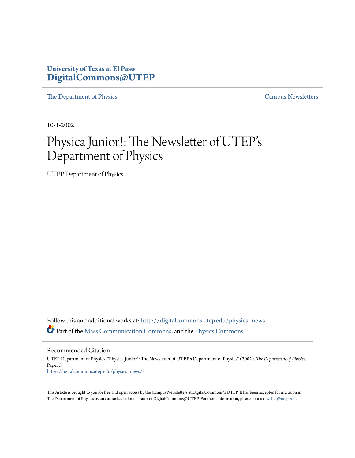#### **University of Texas at El Paso [DigitalCommons@UTEP](http://digitalcommons.utep.edu?utm_source=digitalcommons.utep.edu%2Fphysics_news%2F3&utm_medium=PDF&utm_campaign=PDFCoverPages)**

[The Department of Physics](http://digitalcommons.utep.edu/physics_news?utm_source=digitalcommons.utep.edu%2Fphysics_news%2F3&utm_medium=PDF&utm_campaign=PDFCoverPages) [Campus Newsletters](http://digitalcommons.utep.edu/newsletters?utm_source=digitalcommons.utep.edu%2Fphysics_news%2F3&utm_medium=PDF&utm_campaign=PDFCoverPages)

10-1-2002

## Physica Junior!: The Newsletter of UTEP' s Department of Physics

UTEP Department of Physics

Follow this and additional works at: [http://digitalcommons.utep.edu/physics\\_news](http://digitalcommons.utep.edu/physics_news?utm_source=digitalcommons.utep.edu%2Fphysics_news%2F3&utm_medium=PDF&utm_campaign=PDFCoverPages) Part of the [Mass Communication Commons,](http://network.bepress.com/hgg/discipline/334?utm_source=digitalcommons.utep.edu%2Fphysics_news%2F3&utm_medium=PDF&utm_campaign=PDFCoverPages) and the [Physics Commons](http://network.bepress.com/hgg/discipline/193?utm_source=digitalcommons.utep.edu%2Fphysics_news%2F3&utm_medium=PDF&utm_campaign=PDFCoverPages)

Recommended Citation UTEP Department of Physics, "Physica Junior!: The Newsletter of UTEP's Department of Physics" (2002). *The Department of Physics.* Paper 3. [http://digitalcommons.utep.edu/physics\\_news/3](http://digitalcommons.utep.edu/physics_news/3?utm_source=digitalcommons.utep.edu%2Fphysics_news%2F3&utm_medium=PDF&utm_campaign=PDFCoverPages)

This Article is brought to you for free and open access by the Campus Newsletters at DigitalCommons@UTEP. It has been accepted for inclusion in The Department of Physics by an authorized administrator of DigitalCommons@UTEP. For more information, please contact [lweber@utep.edu](mailto:lweber@utep.edu).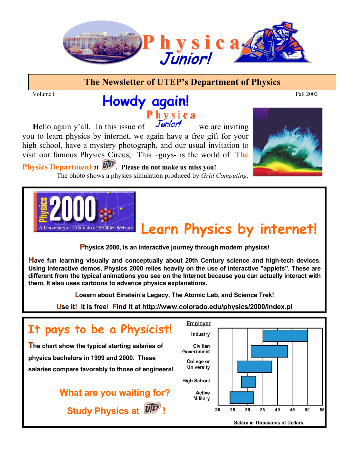

#### **The Newsletter of UTEP's Department of Physics**

#### Volume I and the contract of the contract of the contract of the contract of the Fall 2002 **Howdy again!**  Physica

**Hello again y'all.** In this issue of  $\overline{J}$ *unior!* we are inviting you to learn physics by internet, we again have a free gift for your high school, have a mystery photograph, and our usual invitation to visit our famous Physics Circus, This –guys- is the world of **The**

 The photo shows a physics simulation produced by *Grid Computing.* Physics Department at  $\overline{U}$ . Please do not make us miss you!



# **Learn Physics by internet!**

**Physics 2000, is an interactive journey through modern physics!** 

ł

**Have fun learning visually and conceptually about 20th Century science and high-tech devices. Using interactive demos, Physics 2000 relies heavily on the use of interactive "applets". These are different from the typical animations you see on the Internet because you can actually interact with them. It also uses cartoons to advance physics explanations.** 

**Loearn about Einstein's Legacy, The Atomic Lab, and Science Trek!** 

**Use it! It is free! Find it at http://www.colorado.edu/physics/2000/index.pl**